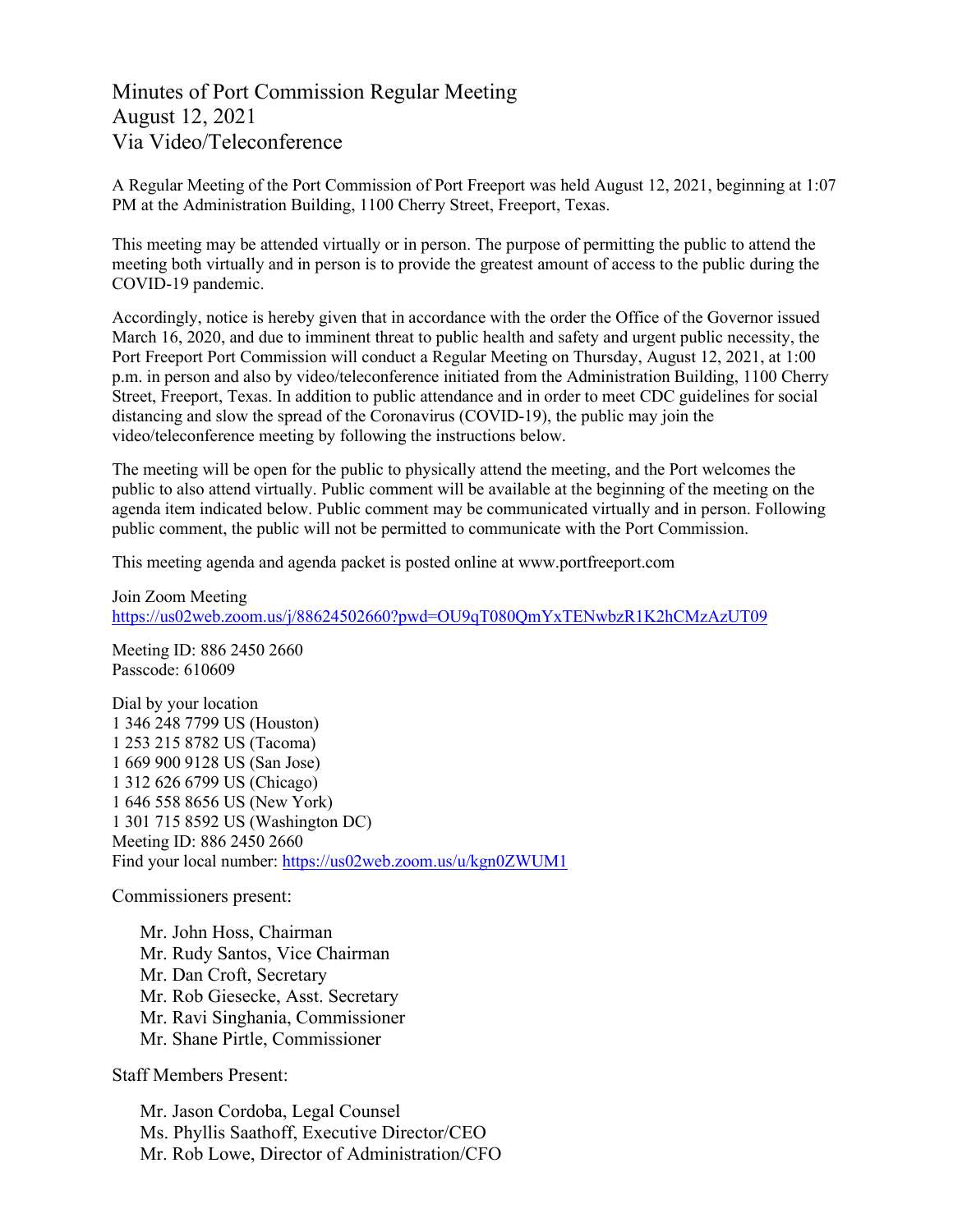## Minutes of Port Commission Regular Meeting August 12, 2021 Via Video/Teleconference

A Regular Meeting of the Port Commission of Port Freeport was held August 12, 2021, beginning at 1:07 PM at the Administration Building, 1100 Cherry Street, Freeport, Texas.

This meeting may be attended virtually or in person. The purpose of permitting the public to attend the meeting both virtually and in person is to provide the greatest amount of access to the public during the COVID-19 pandemic.

Accordingly, notice is hereby given that in accordance with the order the Office of the Governor issued March 16, 2020, and due to imminent threat to public health and safety and urgent public necessity, the Port Freeport Port Commission will conduct a Regular Meeting on Thursday, August 12, 2021, at 1:00 p.m. in person and also by video/teleconference initiated from the Administration Building, 1100 Cherry Street, Freeport, Texas. In addition to public attendance and in order to meet CDC guidelines for social distancing and slow the spread of the Coronavirus (COVID-19), the public may join the video/teleconference meeting by following the instructions below.

The meeting will be open for the public to physically attend the meeting, and the Port welcomes the public to also attend virtually. Public comment will be available at the beginning of the meeting on the agenda item indicated below. Public comment may be communicated virtually and in person. Following public comment, the public will not be permitted to communicate with the Port Commission.

This meeting agenda and agenda packet is posted online at [www.portfreeport.com](http://www.portfreeport.com/)

Join Zoom Meeting <https://us02web.zoom.us/j/88624502660?pwd=OU9qT080QmYxTENwbzR1K2hCMzAzUT09>

Meeting ID: 886 2450 2660 Passcode: 610609

Dial by your location 1 346 248 7799 US (Houston) 1 253 215 8782 US (Tacoma) 1 669 900 9128 US (San Jose) 1 312 626 6799 US (Chicago) 1 646 558 8656 US (New York) 1 301 715 8592 US (Washington DC) Meeting ID: 886 2450 2660 Find your local number:<https://us02web.zoom.us/u/kgn0ZWUM1>

Commissioners present:

Mr. John Hoss, Chairman Mr. Rudy Santos, Vice Chairman Mr. Dan Croft, Secretary Mr. Rob Giesecke, Asst. Secretary Mr. Ravi Singhania, Commissioner Mr. Shane Pirtle, Commissioner

Staff Members Present:

Mr. Jason Cordoba, Legal Counsel Ms. Phyllis Saathoff, Executive Director/CEO Mr. Rob Lowe, Director of Administration/CFO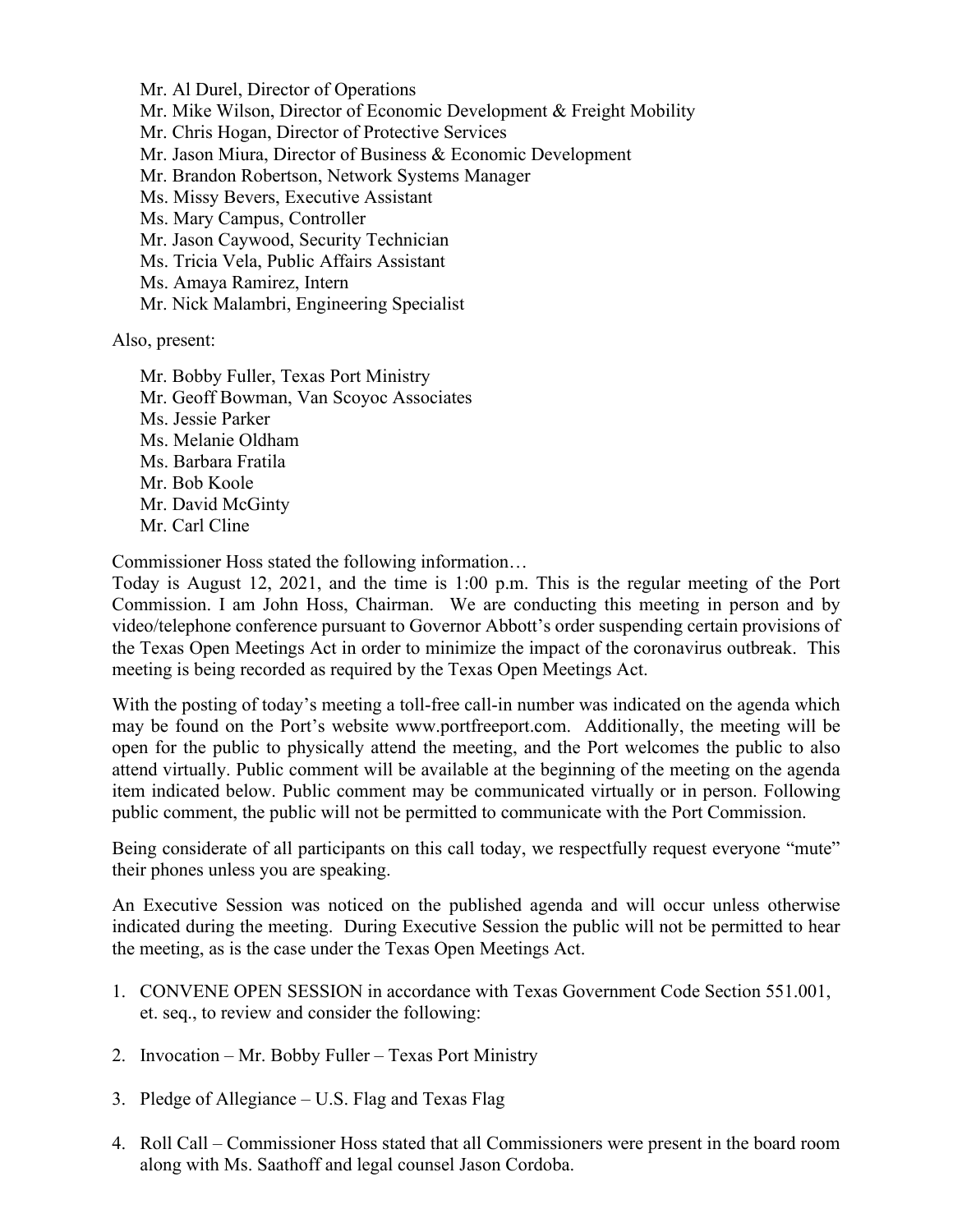Mr. Al Durel, Director of Operations Mr. Mike Wilson, Director of Economic Development & Freight Mobility Mr. Chris Hogan, Director of Protective Services Mr. Jason Miura, Director of Business & Economic Development Mr. Brandon Robertson, Network Systems Manager Ms. Missy Bevers, Executive Assistant Ms. Mary Campus, Controller Mr. Jason Caywood, Security Technician Ms. Tricia Vela, Public Affairs Assistant Ms. Amaya Ramirez, Intern Mr. Nick Malambri, Engineering Specialist

Also, present:

Mr. Bobby Fuller, Texas Port Ministry Mr. Geoff Bowman, Van Scoyoc Associates Ms. Jessie Parker Ms. Melanie Oldham Ms. Barbara Fratila Mr. Bob Koole Mr. David McGinty Mr. Carl Cline

Commissioner Hoss stated the following information…

Today is August 12, 2021, and the time is 1:00 p.m. This is the regular meeting of the Port Commission. I am John Hoss, Chairman. We are conducting this meeting in person and by video/telephone conference pursuant to Governor Abbott's order suspending certain provisions of the Texas Open Meetings Act in order to minimize the impact of the coronavirus outbreak. This meeting is being recorded as required by the Texas Open Meetings Act.

With the posting of today's meeting a toll-free call-in number was indicated on the agenda which may be found on the Port's website [www.portfreeport.com.](http://www.portfreeport.com/) Additionally, the meeting will be open for the public to physically attend the meeting, and the Port welcomes the public to also attend virtually. Public comment will be available at the beginning of the meeting on the agenda item indicated below. Public comment may be communicated virtually or in person. Following public comment, the public will not be permitted to communicate with the Port Commission.

Being considerate of all participants on this call today, we respectfully request everyone "mute" their phones unless you are speaking.

An Executive Session was noticed on the published agenda and will occur unless otherwise indicated during the meeting. During Executive Session the public will not be permitted to hear the meeting, as is the case under the Texas Open Meetings Act.

- 1. CONVENE OPEN SESSION in accordance with Texas Government Code Section 551.001, et. seq., to review and consider the following:
- 2. Invocation Mr. Bobby Fuller Texas Port Ministry
- 3. Pledge of Allegiance U.S. Flag and Texas Flag
- 4. Roll Call Commissioner Hoss stated that all Commissioners were present in the board room along with Ms. Saathoff and legal counsel Jason Cordoba.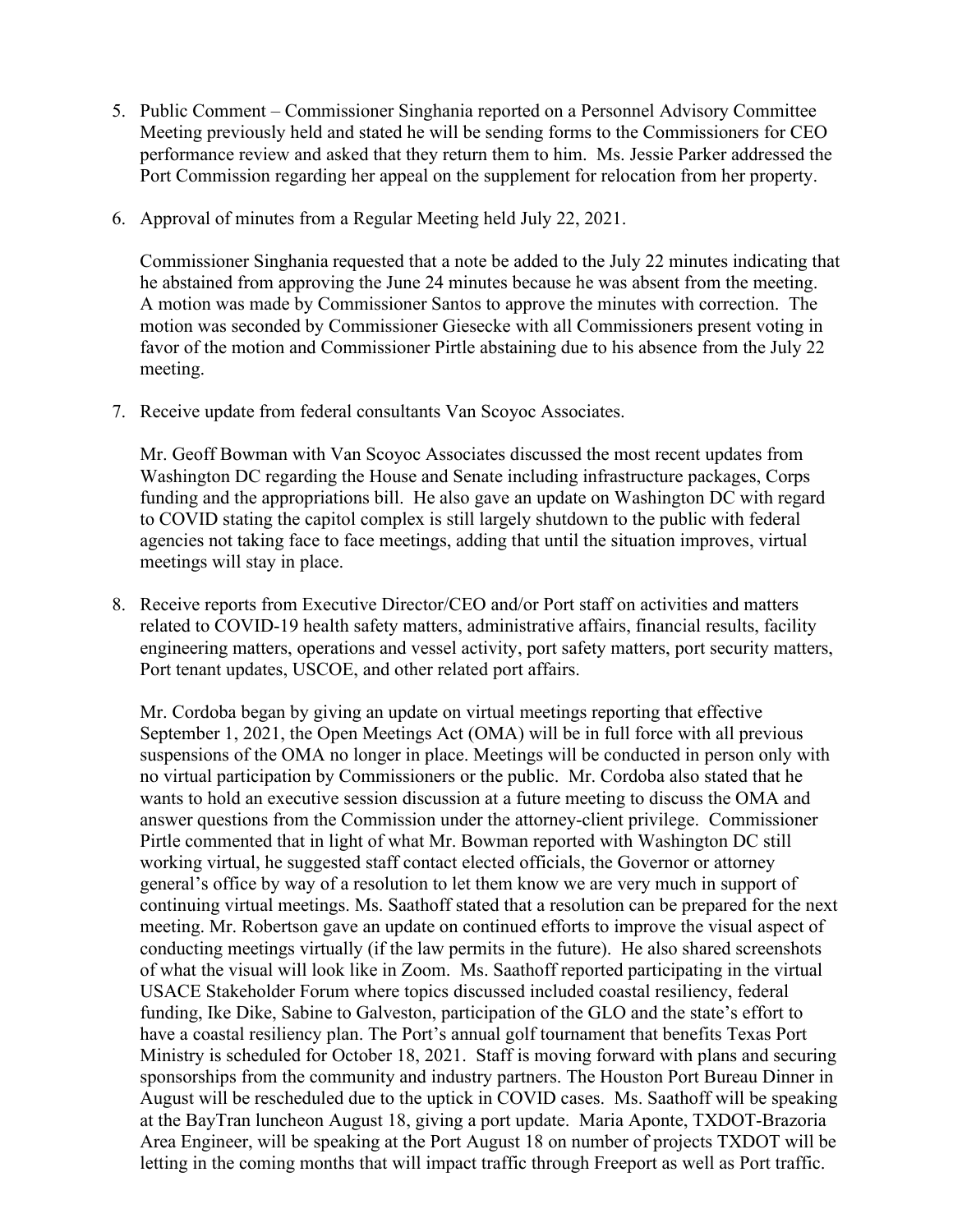- 5. Public Comment Commissioner Singhania reported on a Personnel Advisory Committee Meeting previously held and stated he will be sending forms to the Commissioners for CEO performance review and asked that they return them to him. Ms. Jessie Parker addressed the Port Commission regarding her appeal on the supplement for relocation from her property.
- 6. Approval of minutes from a Regular Meeting held July 22, 2021.

Commissioner Singhania requested that a note be added to the July 22 minutes indicating that he abstained from approving the June 24 minutes because he was absent from the meeting. A motion was made by Commissioner Santos to approve the minutes with correction. The motion was seconded by Commissioner Giesecke with all Commissioners present voting in favor of the motion and Commissioner Pirtle abstaining due to his absence from the July 22 meeting.

7. Receive update from federal consultants Van Scoyoc Associates.

Mr. Geoff Bowman with Van Scoyoc Associates discussed the most recent updates from Washington DC regarding the House and Senate including infrastructure packages, Corps funding and the appropriations bill. He also gave an update on Washington DC with regard to COVID stating the capitol complex is still largely shutdown to the public with federal agencies not taking face to face meetings, adding that until the situation improves, virtual meetings will stay in place.

8. Receive reports from Executive Director/CEO and/or Port staff on activities and matters related to COVID-19 health safety matters, administrative affairs, financial results, facility engineering matters, operations and vessel activity, port safety matters, port security matters, Port tenant updates, USCOE, and other related port affairs.

Mr. Cordoba began by giving an update on virtual meetings reporting that effective September 1, 2021, the Open Meetings Act (OMA) will be in full force with all previous suspensions of the OMA no longer in place. Meetings will be conducted in person only with no virtual participation by Commissioners or the public. Mr. Cordoba also stated that he wants to hold an executive session discussion at a future meeting to discuss the OMA and answer questions from the Commission under the attorney-client privilege. Commissioner Pirtle commented that in light of what Mr. Bowman reported with Washington DC still working virtual, he suggested staff contact elected officials, the Governor or attorney general's office by way of a resolution to let them know we are very much in support of continuing virtual meetings. Ms. Saathoff stated that a resolution can be prepared for the next meeting. Mr. Robertson gave an update on continued efforts to improve the visual aspect of conducting meetings virtually (if the law permits in the future). He also shared screenshots of what the visual will look like in Zoom. Ms. Saathoff reported participating in the virtual USACE Stakeholder Forum where topics discussed included coastal resiliency, federal funding, Ike Dike, Sabine to Galveston, participation of the GLO and the state's effort to have a coastal resiliency plan. The Port's annual golf tournament that benefits Texas Port Ministry is scheduled for October 18, 2021. Staff is moving forward with plans and securing sponsorships from the community and industry partners. The Houston Port Bureau Dinner in August will be rescheduled due to the uptick in COVID cases. Ms. Saathoff will be speaking at the BayTran luncheon August 18, giving a port update. Maria Aponte, TXDOT-Brazoria Area Engineer, will be speaking at the Port August 18 on number of projects TXDOT will be letting in the coming months that will impact traffic through Freeport as well as Port traffic.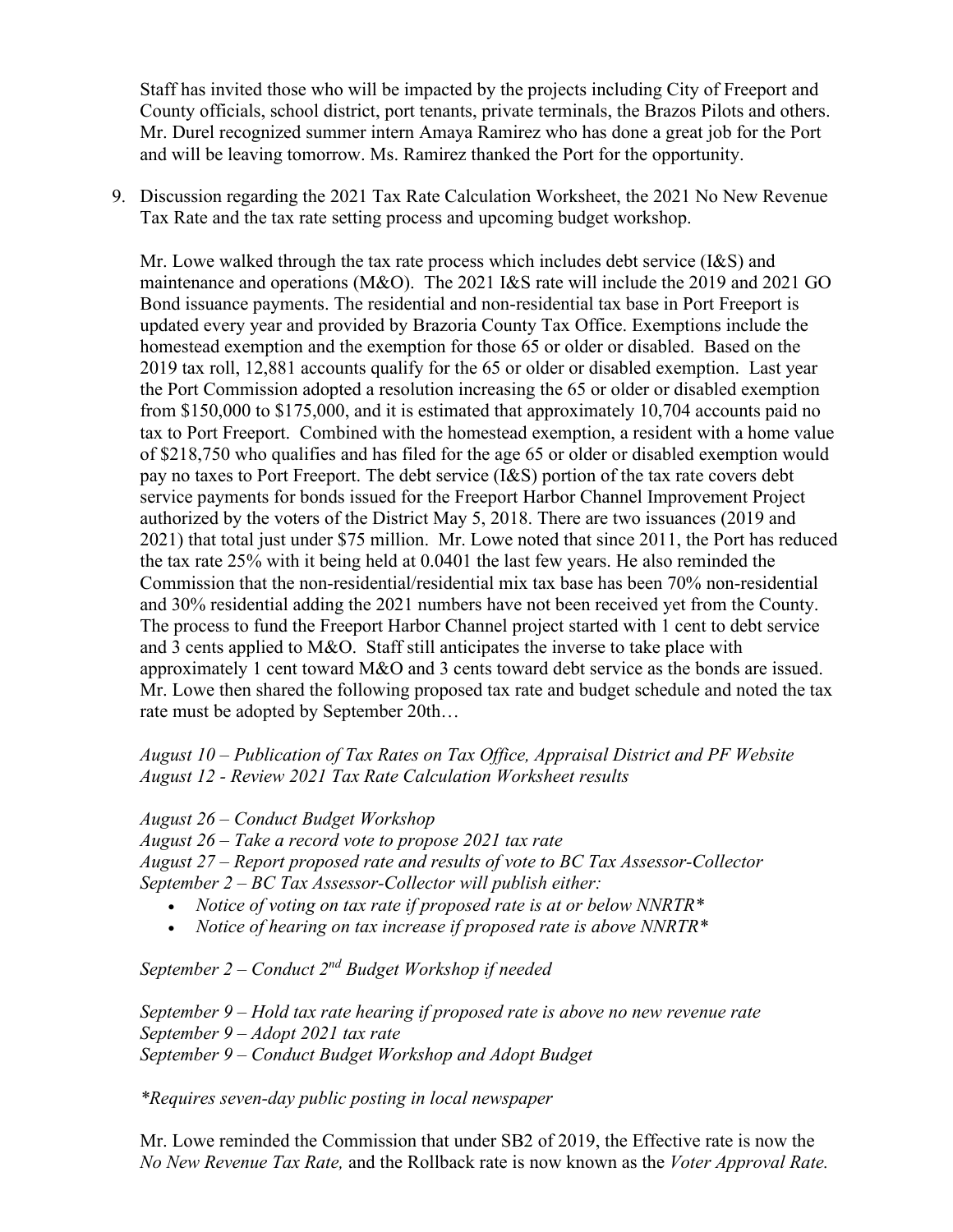Staff has invited those who will be impacted by the projects including City of Freeport and County officials, school district, port tenants, private terminals, the Brazos Pilots and others. Mr. Durel recognized summer intern Amaya Ramirez who has done a great job for the Port and will be leaving tomorrow. Ms. Ramirez thanked the Port for the opportunity.

9. Discussion regarding the 2021 Tax Rate Calculation Worksheet, the 2021 No New Revenue Tax Rate and the tax rate setting process and upcoming budget workshop.

Mr. Lowe walked through the tax rate process which includes debt service (I&S) and maintenance and operations (M&O). The 2021 I&S rate will include the 2019 and 2021 GO Bond issuance payments. The residential and non-residential tax base in Port Freeport is updated every year and provided by Brazoria County Tax Office. Exemptions include the homestead exemption and the exemption for those 65 or older or disabled. Based on the 2019 tax roll, 12,881 accounts qualify for the 65 or older or disabled exemption. Last year the Port Commission adopted a resolution increasing the 65 or older or disabled exemption from \$150,000 to \$175,000, and it is estimated that approximately 10,704 accounts paid no tax to Port Freeport. Combined with the homestead exemption, a resident with a home value of \$218,750 who qualifies and has filed for the age 65 or older or disabled exemption would pay no taxes to Port Freeport. The debt service (I&S) portion of the tax rate covers debt service payments for bonds issued for the Freeport Harbor Channel Improvement Project authorized by the voters of the District May 5, 2018. There are two issuances (2019 and 2021) that total just under \$75 million. Mr. Lowe noted that since 2011, the Port has reduced the tax rate 25% with it being held at 0.0401 the last few years. He also reminded the Commission that the non-residential/residential mix tax base has been 70% non-residential and 30% residential adding the 2021 numbers have not been received yet from the County. The process to fund the Freeport Harbor Channel project started with 1 cent to debt service and 3 cents applied to  $M&O$ . Staff still anticipates the inverse to take place with approximately 1 cent toward M&O and 3 cents toward debt service as the bonds are issued. Mr. Lowe then shared the following proposed tax rate and budget schedule and noted the tax rate must be adopted by September 20th…

*August 10 – Publication of Tax Rates on Tax Office, Appraisal District and PF Website August 12 - Review 2021 Tax Rate Calculation Worksheet results*

*August 26 – Conduct Budget Workshop*

*August 26 – Take a record vote to propose 2021 tax rate*

*August 27 – Report proposed rate and results of vote to BC Tax Assessor-Collector September 2 – BC Tax Assessor-Collector will publish either:*

- *Notice of voting on tax rate if proposed rate is at or below NNRTR\**
- *Notice of hearing on tax increase if proposed rate is above NNRTR\**

*September 2 – Conduct 2nd Budget Workshop if needed*

*September 9 – Hold tax rate hearing if proposed rate is above no new revenue rate September 9 – Adopt 2021 tax rate September 9 – Conduct Budget Workshop and Adopt Budget*

*\*Requires seven-day public posting in local newspaper*

Mr. Lowe reminded the Commission that under SB2 of 2019, the Effective rate is now the *No New Revenue Tax Rate,* and the Rollback rate is now known as the *Voter Approval Rate.*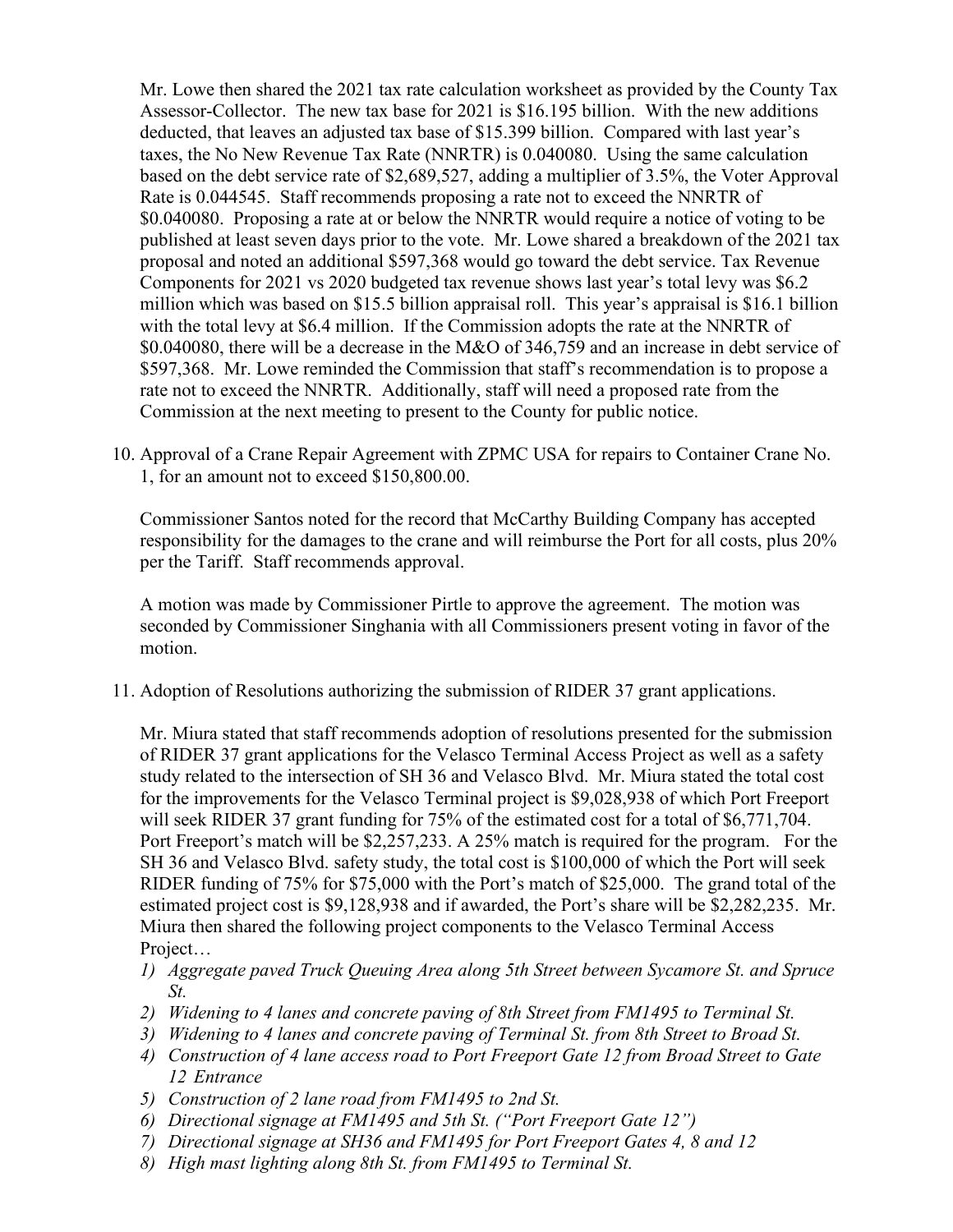Mr. Lowe then shared the 2021 tax rate calculation worksheet as provided by the County Tax Assessor-Collector. The new tax base for 2021 is \$16.195 billion. With the new additions deducted, that leaves an adjusted tax base of \$15.399 billion. Compared with last year's taxes, the No New Revenue Tax Rate (NNRTR) is 0.040080. Using the same calculation based on the debt service rate of \$2,689,527, adding a multiplier of 3.5%, the Voter Approval Rate is 0.044545. Staff recommends proposing a rate not to exceed the NNRTR of \$0.040080. Proposing a rate at or below the NNRTR would require a notice of voting to be published at least seven days prior to the vote. Mr. Lowe shared a breakdown of the 2021 tax proposal and noted an additional \$597,368 would go toward the debt service. Tax Revenue Components for 2021 vs 2020 budgeted tax revenue shows last year's total levy was \$6.2 million which was based on \$15.5 billion appraisal roll. This year's appraisal is \$16.1 billion with the total levy at \$6.4 million. If the Commission adopts the rate at the NNRTR of \$0.040080, there will be a decrease in the M&O of 346,759 and an increase in debt service of \$597,368. Mr. Lowe reminded the Commission that staff's recommendation is to propose a rate not to exceed the NNRTR. Additionally, staff will need a proposed rate from the Commission at the next meeting to present to the County for public notice.

10. Approval of a Crane Repair Agreement with ZPMC USA for repairs to Container Crane No. 1, for an amount not to exceed \$150,800.00.

Commissioner Santos noted for the record that McCarthy Building Company has accepted responsibility for the damages to the crane and will reimburse the Port for all costs, plus 20% per the Tariff. Staff recommends approval.

A motion was made by Commissioner Pirtle to approve the agreement. The motion was seconded by Commissioner Singhania with all Commissioners present voting in favor of the motion.

11. Adoption of Resolutions authorizing the submission of RIDER 37 grant applications.

Mr. Miura stated that staff recommends adoption of resolutions presented for the submission of RIDER 37 grant applications for the Velasco Terminal Access Project as well as a safety study related to the intersection of SH 36 and Velasco Blvd. Mr. Miura stated the total cost for the improvements for the Velasco Terminal project is \$9,028,938 of which Port Freeport will seek RIDER 37 grant funding for 75% of the estimated cost for a total of \$6,771,704. Port Freeport's match will be \$2,257,233. A 25% match is required for the program. For the SH 36 and Velasco Blvd. safety study, the total cost is \$100,000 of which the Port will seek RIDER funding of 75% for \$75,000 with the Port's match of \$25,000. The grand total of the estimated project cost is \$9,128,938 and if awarded, the Port's share will be \$2,282,235. Mr. Miura then shared the following project components to the Velasco Terminal Access Project…

- *1) Aggregate paved Truck Queuing Area along 5th Street between Sycamore St. and Spruce St.*
- *2) Widening to 4 lanes and concrete paving of 8th Street from FM1495 to Terminal St.*
- *3) Widening to 4 lanes and concrete paving of Terminal St. from 8th Street to Broad St.*
- *4) Construction of 4 lane access road to Port Freeport Gate 12 from Broad Street to Gate 12 Entrance*
- *5) Construction of 2 lane road from FM1495 to 2nd St.*
- *6) Directional signage at FM1495 and 5th St. ("Port Freeport Gate 12")*
- *7) Directional signage at SH36 and FM1495 for Port Freeport Gates 4, 8 and 12*
- *8) High mast lighting along 8th St. from FM1495 to Terminal St.*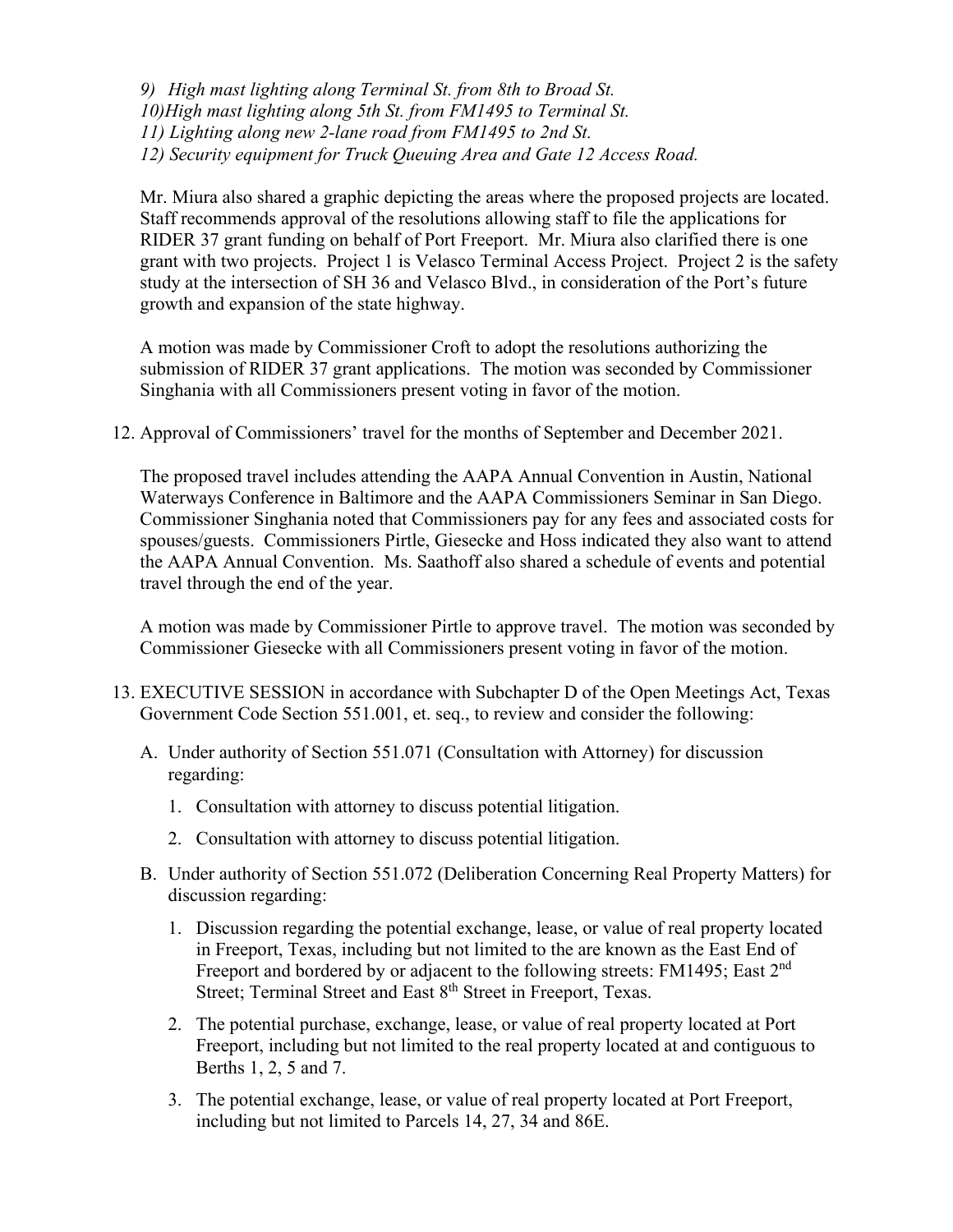*9) High mast lighting along Terminal St. from 8th to Broad St. 10)High mast lighting along 5th St. from FM1495 to Terminal St. 11) Lighting along new 2-lane road from FM1495 to 2nd St. 12) Security equipment for Truck Queuing Area and Gate 12 Access Road.*

Mr. Miura also shared a graphic depicting the areas where the proposed projects are located. Staff recommends approval of the resolutions allowing staff to file the applications for RIDER 37 grant funding on behalf of Port Freeport. Mr. Miura also clarified there is one grant with two projects. Project 1 is Velasco Terminal Access Project. Project 2 is the safety study at the intersection of SH 36 and Velasco Blvd., in consideration of the Port's future growth and expansion of the state highway.

A motion was made by Commissioner Croft to adopt the resolutions authorizing the submission of RIDER 37 grant applications. The motion was seconded by Commissioner Singhania with all Commissioners present voting in favor of the motion.

12. Approval of Commissioners' travel for the months of September and December 2021.

The proposed travel includes attending the AAPA Annual Convention in Austin, National Waterways Conference in Baltimore and the AAPA Commissioners Seminar in San Diego. Commissioner Singhania noted that Commissioners pay for any fees and associated costs for spouses/guests. Commissioners Pirtle, Giesecke and Hoss indicated they also want to attend the AAPA Annual Convention. Ms. Saathoff also shared a schedule of events and potential travel through the end of the year.

A motion was made by Commissioner Pirtle to approve travel. The motion was seconded by Commissioner Giesecke with all Commissioners present voting in favor of the motion.

- 13. EXECUTIVE SESSION in accordance with Subchapter D of the Open Meetings Act, Texas Government Code Section 551.001, et. seq., to review and consider the following:
	- A. Under authority of Section 551.071 (Consultation with Attorney) for discussion regarding:
		- 1. Consultation with attorney to discuss potential litigation.
		- 2. Consultation with attorney to discuss potential litigation.
	- B. Under authority of Section 551.072 (Deliberation Concerning Real Property Matters) for discussion regarding:
		- 1. Discussion regarding the potential exchange, lease, or value of real property located in Freeport, Texas, including but not limited to the are known as the East End of Freeport and bordered by or adjacent to the following streets: FM1495; East 2<sup>nd</sup> Street; Terminal Street and East 8<sup>th</sup> Street in Freeport, Texas.
		- 2. The potential purchase, exchange, lease, or value of real property located at Port Freeport, including but not limited to the real property located at and contiguous to Berths 1, 2, 5 and 7.
		- 3. The potential exchange, lease, or value of real property located at Port Freeport, including but not limited to Parcels 14, 27, 34 and 86E.